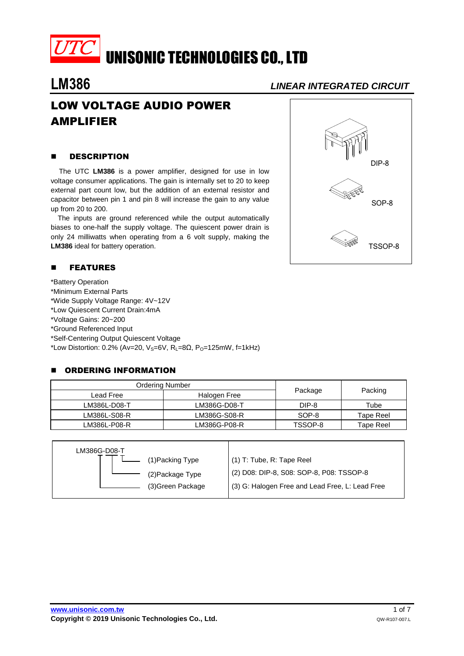

## **LM386** *LINEAR INTEGRATED CIRCUIT*

# LOW VOLTAGE AUDIO POWER AMPLIFIER

#### **B** DESCRIPTION

 The UTC **LM386** is a power amplifier, designed for use in low voltage consumer applications. The gain is internally set to 20 to keep external part count low, but the addition of an external resistor and capacitor between pin 1 and pin 8 will increase the gain to any value up from 20 to 200.

The inputs are ground referenced while the output automatically biases to one-half the supply voltage. The quiescent power drain is only 24 milliwatts when operating from a 6 volt supply, making the **LM386** ideal for battery operation.

### **E** FEATURES

\*Battery Operation \*Minimum External Parts \*Wide Supply Voltage Range: 4V~12V

\*Low Quiescent Current Drain:4mA

\*Voltage Gains: 20~200 \*Ground Referenced Input

\*Self-Centering Output Quiescent Voltage

\*Low Distortion: 0.2% (Av=20, V<sub>S</sub>=6V, R<sub>L</sub>=8 $\Omega$ , P<sub>O</sub>=125mW, f=1kHz)

#### **E** ORDERING INFORMATION

| <b>Ordering Number</b> |              |         |           |  |
|------------------------|--------------|---------|-----------|--|
| Lead Free              | Halogen Free | Package | Packing   |  |
| LM386L-D08-T           | LM386G-D08-T | DIP-8   | Tube      |  |
| LM386L-S08-R           | LM386G-S08-R | SOP-8   | Tape Reel |  |
| LM386L-P08-R           | LM386G-P08-R | TSSOP-8 | Tape Reel |  |

| LM386G-D08-T |                   |                                                 |
|--------------|-------------------|-------------------------------------------------|
|              | (1) Packing Type  | (1) T: Tube, R: Tape Reel                       |
|              | (2) Package Type  | (2) D08: DIP-8, S08: SOP-8, P08: TSSOP-8        |
|              | (3) Green Package | (3) G: Halogen Free and Lead Free, L: Lead Free |
|              |                   |                                                 |

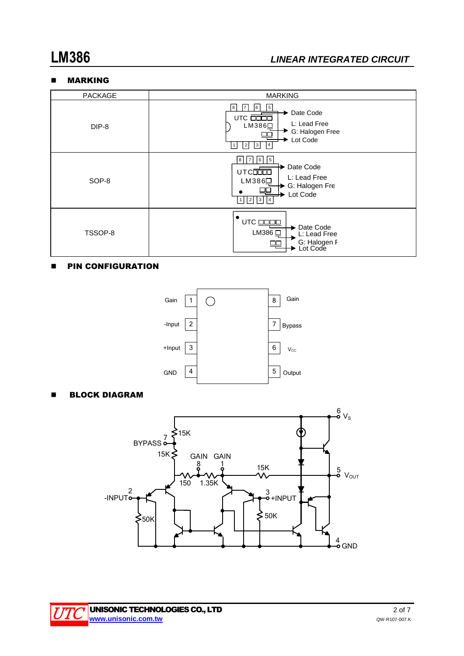#### MARKING



#### **PIN CONFIGURATION**



**BLOCK DIAGRAM** 



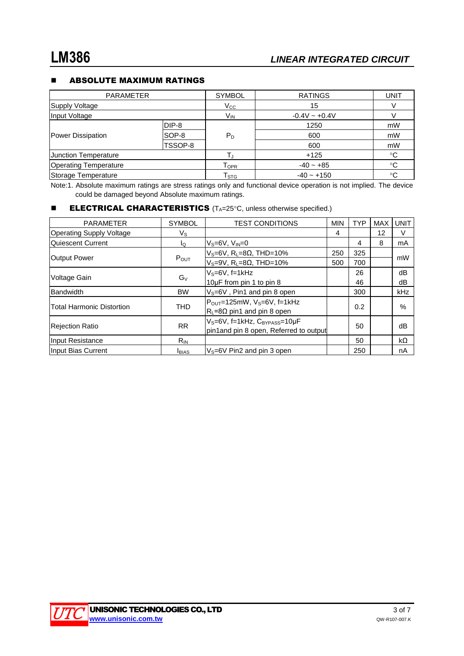#### **E** ABSOLUTE MAXIMUM RATINGS

| <b>PARAMETER</b>             |         | <b>SYMBOL</b>    | <b>RATINGS</b>     | UNIT        |
|------------------------------|---------|------------------|--------------------|-------------|
| Supply Voltage               |         | $V_{\rm CC}$     | 15                 |             |
| Input Voltage                |         | $V_{IN}$         | $-0.4V \sim +0.4V$ |             |
| <b>Power Dissipation</b>     | DIP-8   | $P_D$            | 1250               | mW          |
|                              | SOP-8   |                  | 600                | mW          |
|                              | TSSOP-8 |                  | 600                | mW          |
| <b>Junction Temperature</b>  |         |                  | $+125$             | °C          |
| <b>Operating Temperature</b> |         | <b>TOPR</b>      | $-40 - +85$        | $^{\circ}C$ |
| Storage Temperature          |         | T <sub>STG</sub> | $-40 - +150$       | $^{\circ}C$ |

Note:1. Absolute maximum ratings are stress ratings only and functional device operation is not implied. The device could be damaged beyond Absolute maximum ratings.

#### **ELECTRICAL CHARACTERISTICS**  $(T_A=25^\circ C,$  unless otherwise specified.)

| <b>PARAMETER</b>                 | <b>SYMBOL</b>  | <b>TEST CONDITIONS</b>                                 | <b>MIN</b> | <b>TYP</b> | <b>MAX</b> | <b>UNIT</b> |
|----------------------------------|----------------|--------------------------------------------------------|------------|------------|------------|-------------|
| <b>Operating Supply Voltage</b>  | Vs             |                                                        | 4          |            | 12         | $\vee$      |
| <b>Quiescent Current</b>         | lo.            | $V_s = 6V$ , $V_{IN} = 0$                              |            | 4          | 8          | mA          |
| <b>Output Power</b>              | POUT           | $V_S = 6V$ , R <sub>L</sub> =8 $\Omega$ , THD=10%      | 250        | 325        |            | mW          |
|                                  |                | $V_S = 9V$ , R <sub>L</sub> $= 8\Omega$ , THD $= 10\%$ | 500        | 700        |            |             |
| Voltage Gain                     | G <sub>V</sub> | $V_S = 6V$ , f=1kHz                                    |            | 26         |            | dB          |
|                                  |                | 10µF from pin 1 to pin 8                               |            | 46         |            | dB          |
| Bandwidth                        | <b>BW</b>      | $V_s = 6V$ , Pin1 and pin 8 open                       |            | 300        |            | kHz         |
| <b>Total Harmonic Distortion</b> | <b>THD</b>     | $P_{OUT}$ =125mW, V <sub>S</sub> =6V, f=1kHz           |            | 0.2        |            | $\%$        |
|                                  |                | $R_L = 8\Omega$ pin1 and pin 8 open                    |            |            |            |             |
| Rejection Ratio                  | <b>RR</b>      | V <sub>S</sub> =6V, f=1kHz, C <sub>BYPASS</sub> =10µF  | 50         |            |            | dB          |
|                                  |                | pin1and pin 8 open, Referred to output                 |            |            |            |             |
| Input Resistance                 | $R_{IN}$       |                                                        |            | 50         |            | kΩ          |
| Input Bias Current               | <b>I</b> BIAS  | $V_s = 6V$ Pin2 and pin 3 open                         |            | 250        |            | nA          |

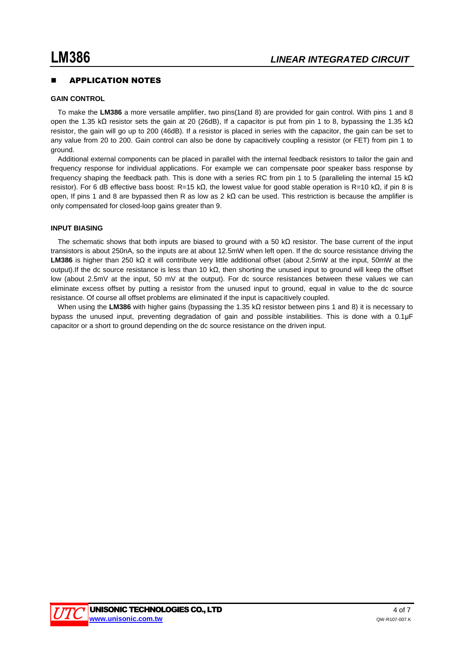#### APPLICATION NOTES

#### **GAIN CONTROL**

To make the **LM386** a more versatile amplifier, two pins(1and 8) are provided for gain control. With pins 1 and 8 open the 1.35 kΩ resistor sets the gain at 20 (26dB), If a capacitor is put from pin 1 to 8, bypassing the 1.35 kΩ resistor, the gain will go up to 200 (46dB). If a resistor is placed in series with the capacitor, the gain can be set to any value from 20 to 200. Gain control can also be done by capacitively coupling a resistor (or FET) from pin 1 to ground.

Additional external components can be placed in parallel with the internal feedback resistors to tailor the gain and frequency response for individual applications. For example we can compensate poor speaker bass response by frequency shaping the feedback path. This is done with a series RC from pin 1 to 5 (paralleling the internal 15 kΩ resistor). For 6 dB effective bass boost: R=15 kΩ, the lowest value for good stable operation is R=10 kΩ, if pin 8 is open, If pins 1 and 8 are bypassed then R as low as 2 kΩ can be used. This restriction is because the amplifier is only compensated for closed-loop gains greater than 9.

#### **INPUT BIASING**

The schematic shows that both inputs are biased to ground with a 50 kΩ resistor. The base current of the input transistors is about 250nA, so the inputs are at about 12.5mW when left open. If the dc source resistance driving the **LM386** is higher than 250 kΩ it will contribute very little additional offset (about 2.5mW at the input, 50mW at the output).If the dc source resistance is less than 10 kΩ, then shorting the unused input to ground will keep the offset low (about 2.5mV at the input, 50 mV at the output). For dc source resistances between these values we can eliminate excess offset by putting a resistor from the unused input to ground, equal in value to the dc source resistance. Of course all offset problems are eliminated if the input is capacitively coupled.

When using the **LM386** with higher gains (bypassing the 1.35 kΩ resistor between pins 1 and 8) it is necessary to bypass the unused input, preventing degradation of gain and possible instabilities. This is done with a 0.1μF capacitor or a short to ground depending on the dc source resistance on the driven input.

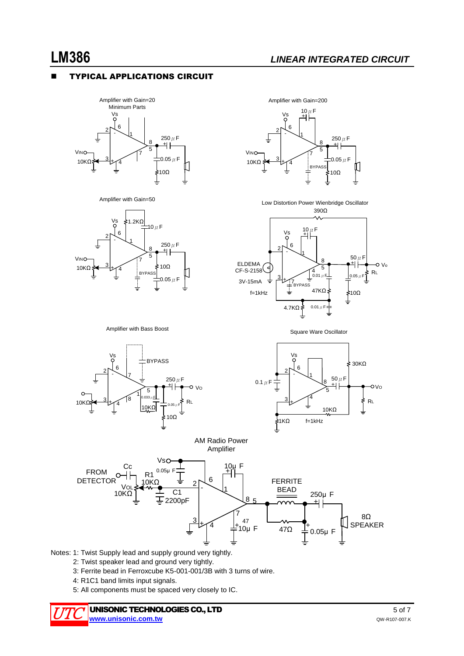### TYPICAL APPLICATIONS CIRCUIT







#### 10 $\mu$ F Vs +  $\begin{array}{c|c}\n & 6 & \\
& 1 & \\
& 3 & \\
& 4 & \\
& & 7 & \\
& & 5 & \\
& & & 5\n\end{array}$  $V_{\text{INO}}$ -  $250 \mu F$ <br> $+$   $+$ 8 7  $20.05 \mu$ F 10KΩ + ╙ BYPASS 10Ω

Amplifier with Gain=200

Low Distortion Power Wienbridge Oscillator 390Ω



Amplifier with Bass Boost





Square Ware Oscillator





Notes: 1: Twist Supply lead and supply ground very tightly.

- 2: Twist speaker lead and ground very tightly.
- 3: Ferrite bead in Ferroxcube K5-001-001/3B with 3 turns of wire.
- 4: R1C1 band limits input signals.
- 5: All components must be spaced very closely to IC.

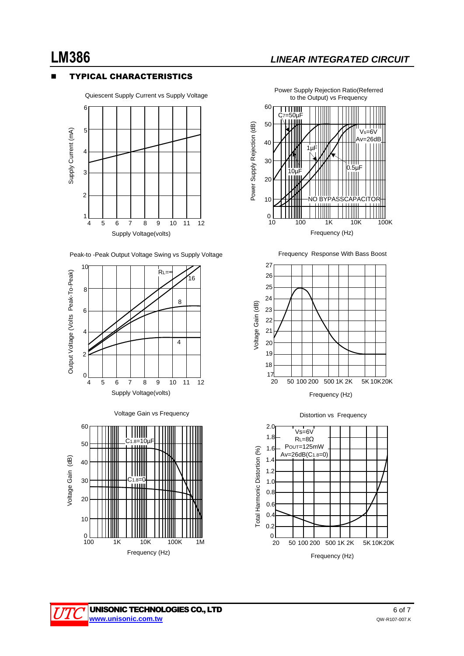### TYPICAL CHARACTERISTICS



Quiescent Supply Current vs Supply Voltage







Power Supply Rejection Ratio(Referred to the Output) vs Frequency



Frequency Response With Bass Boost